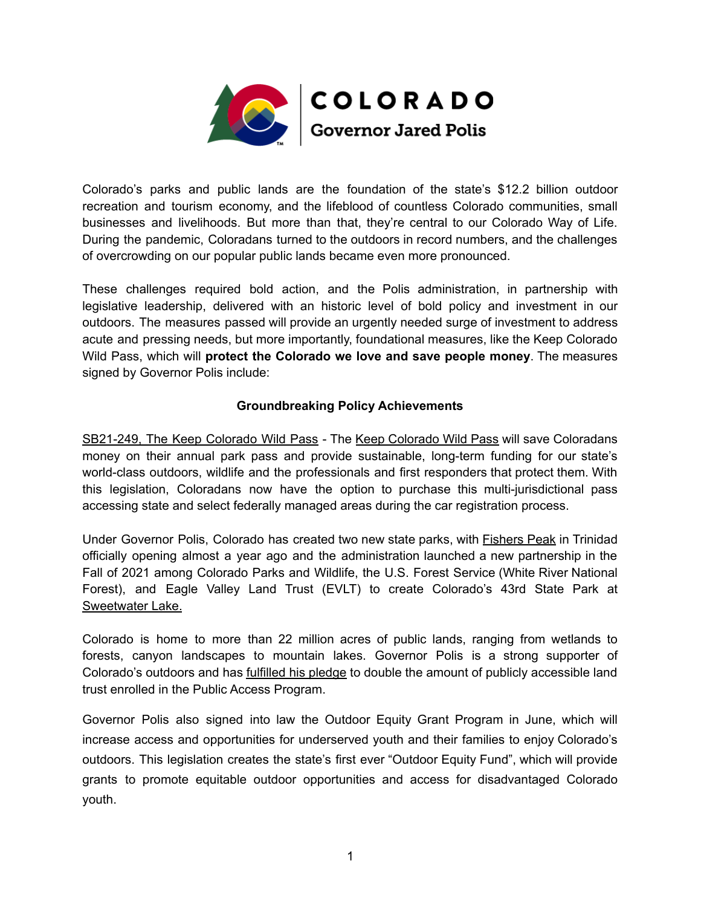

Colorado's parks and public lands are the foundation of the state's \$12.2 billion outdoor recreation and tourism economy, and the lifeblood of countless Colorado communities, small businesses and livelihoods. But more than that, they're central to our Colorado Way of Life. During the pandemic, Coloradans turned to the outdoors in record numbers, and the challenges of overcrowding on our popular public lands became even more pronounced.

These challenges required bold action, and the Polis administration, in partnership with legislative leadership, delivered with an historic level of bold policy and investment in our outdoors. The measures passed will provide an urgently needed surge of investment to address acute and pressing needs, but more importantly, foundational measures, like the Keep Colorado Wild Pass, which will **protect the Colorado we love and save people money**. The measures signed by Governor Polis include:

## **Groundbreaking Policy Achievements**

SB21-249, The Keep Colorado Wild Pass - The Keep [Colorado](https://cpw.state.co.us/Documents/Financial-Sustainability/Keep_Colorado_Wild_Pass_Fact_Sheet.pdf) Wild Pass will save Coloradans money on their annual park pass and provide sustainable, long-term funding for our state's world-class outdoors, wildlife and the professionals and first responders that protect them. With this legislation, Coloradans now have the option to purchase this multi-jurisdictional pass accessing state and select federally managed areas during the car registration process.

Under Governor Polis, Colorado has created two new state parks, with [Fishers](https://www.colorado.gov/governor/news/3341-governor-polis-opens-fishers-peak-state-park) Peak in Trinidad officially opening almost a year ago and the administration launched a new partnership in the Fall of 2021 among Colorado Parks and Wildlife, the U.S. Forest Service (White River National Forest), and Eagle Valley Land Trust (EVLT) to create Colorado's 43rd State Park at [Sweetwater](https://www.colorado.gov/governor/news/6531-gov-polis-announces-partnership-manage-sweetwater-lake-newest-colorado-state-park) Lake.

Colorado is home to more than 22 million acres of public lands, ranging from wetlands to forests, canyon landscapes to mountain lakes. Governor Polis is a strong supporter of Colorado's outdoors and has [fulfilled](https://www.colorado.gov/governor/news/5071-colorado-parks-and-wildlife-expands-public-access-program) his pledge to double the amount of publicly accessible land trust enrolled in the Public Access Program.

Governor Polis also signed into law the Outdoor Equity Grant [Program](https://leg.colorado.gov/bills/hb21-1318) in June, which will increase access and opportunities for underserved youth and their families to enjoy Colorado's outdoors. This legislation creates the state's first ever "Outdoor Equity Fund", which will provide grants to promote equitable outdoor opportunities and access for disadvantaged Colorado youth.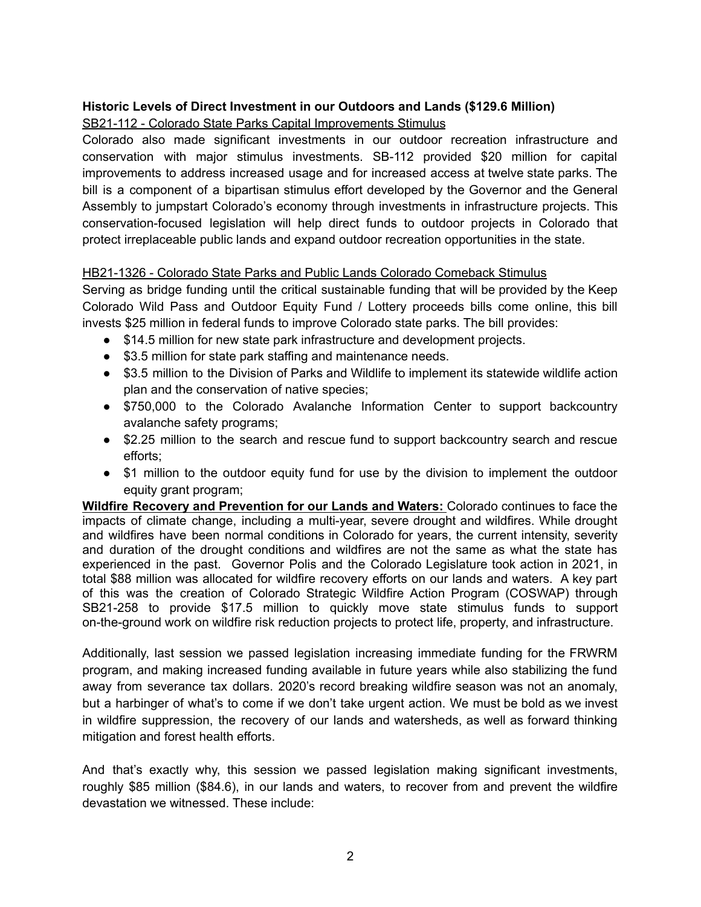## **Historic Levels of Direct Investment in our Outdoors and Lands (\$129.6 Million)**

## SB21-112 - Colorado State Parks Capital Improvements Stimulus

Colorado also made significant investments in our outdoor recreation infrastructure and conservation with major stimulus investments. SB-112 provided \$20 million for capital improvements to address increased usage and for increased access at twelve state parks. The bill is a component of a bipartisan stimulus effort developed by the Governor and the General Assembly to jumpstart Colorado's economy through investments in infrastructure projects. This conservation-focused legislation will help direct funds to outdoor projects in Colorado that protect irreplaceable public lands and expand outdoor recreation opportunities in the state.

## HB21-1326 - Colorado State Parks and Public Lands Colorado Comeback Stimulus

Serving as bridge funding until the critical sustainable funding that will be provided by the Keep Colorado Wild Pass and Outdoor Equity Fund / Lottery proceeds bills come online, this bill invests \$25 million in federal funds to improve Colorado state parks. The bill provides:

- \$14.5 million for new state park infrastructure and development projects.
- \$3.5 million for state park staffing and maintenance needs.
- \$3.5 million to the Division of Parks and Wildlife to implement its statewide wildlife action plan and the conservation of native species;
- \$750,000 to the Colorado Avalanche Information Center to support backcountry avalanche safety programs;
- \$2.25 million to the search and rescue fund to support backcountry search and rescue efforts;
- \$1 million to the outdoor equity fund for use by the division to implement the outdoor equity grant program;

**Wildfire Recovery and Prevention for our Lands and Waters:** Colorado continues to face the impacts of climate change, including a multi-year, severe drought and wildfires. While drought and wildfires have been normal conditions in Colorado for years, the current intensity, severity and duration of the drought conditions and wildfires are not the same as what the state has experienced in the past. Governor Polis and the Colorado Legislature took action in 2021, in total \$88 million was allocated for wildfire recovery efforts on our lands and waters. A key part of this was the creation of Colorado Strategic Wildfire Action Program (COSWAP) through SB21-258 to provide \$17.5 million to quickly move state stimulus funds to support on-the-ground work on wildfire risk reduction projects to protect life, property, and infrastructure.

Additionally, last session we passed legislation increasing immediate funding for the FRWRM program, and making increased funding available in future years while also stabilizing the fund away from severance tax dollars. 2020's record breaking wildfire season was not an anomaly, but a harbinger of what's to come if we don't take urgent action. We must be bold as we invest in wildfire suppression, the recovery of our lands and watersheds, as well as forward thinking mitigation and forest health efforts.

And that's exactly why, this session we passed legislation making significant investments, roughly \$85 million (\$84.6), in our lands and waters, to recover from and prevent the wildfire devastation we witnessed. These include: